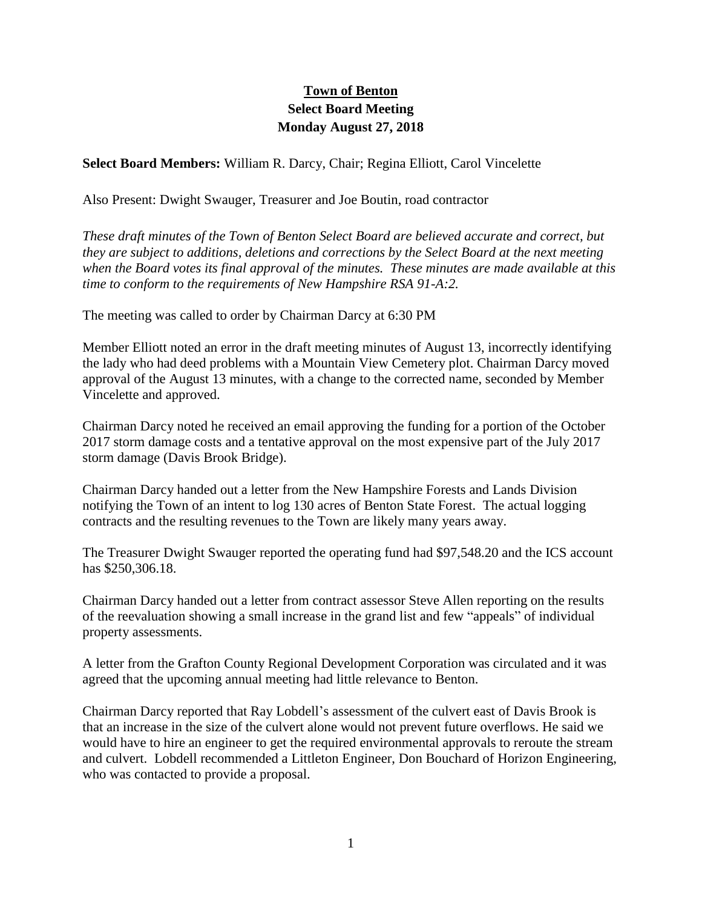## **Town of Benton Select Board Meeting Monday August 27, 2018**

**Select Board Members:** William R. Darcy, Chair; Regina Elliott, Carol Vincelette

Also Present: Dwight Swauger, Treasurer and Joe Boutin, road contractor

*These draft minutes of the Town of Benton Select Board are believed accurate and correct, but they are subject to additions, deletions and corrections by the Select Board at the next meeting when the Board votes its final approval of the minutes. These minutes are made available at this time to conform to the requirements of New Hampshire RSA 91-A:2.*

The meeting was called to order by Chairman Darcy at 6:30 PM

Member Elliott noted an error in the draft meeting minutes of August 13, incorrectly identifying the lady who had deed problems with a Mountain View Cemetery plot. Chairman Darcy moved approval of the August 13 minutes, with a change to the corrected name, seconded by Member Vincelette and approved.

Chairman Darcy noted he received an email approving the funding for a portion of the October 2017 storm damage costs and a tentative approval on the most expensive part of the July 2017 storm damage (Davis Brook Bridge).

Chairman Darcy handed out a letter from the New Hampshire Forests and Lands Division notifying the Town of an intent to log 130 acres of Benton State Forest. The actual logging contracts and the resulting revenues to the Town are likely many years away.

The Treasurer Dwight Swauger reported the operating fund had \$97,548.20 and the ICS account has \$250,306.18.

Chairman Darcy handed out a letter from contract assessor Steve Allen reporting on the results of the reevaluation showing a small increase in the grand list and few "appeals" of individual property assessments.

A letter from the Grafton County Regional Development Corporation was circulated and it was agreed that the upcoming annual meeting had little relevance to Benton.

Chairman Darcy reported that Ray Lobdell's assessment of the culvert east of Davis Brook is that an increase in the size of the culvert alone would not prevent future overflows. He said we would have to hire an engineer to get the required environmental approvals to reroute the stream and culvert. Lobdell recommended a Littleton Engineer, Don Bouchard of Horizon Engineering, who was contacted to provide a proposal.